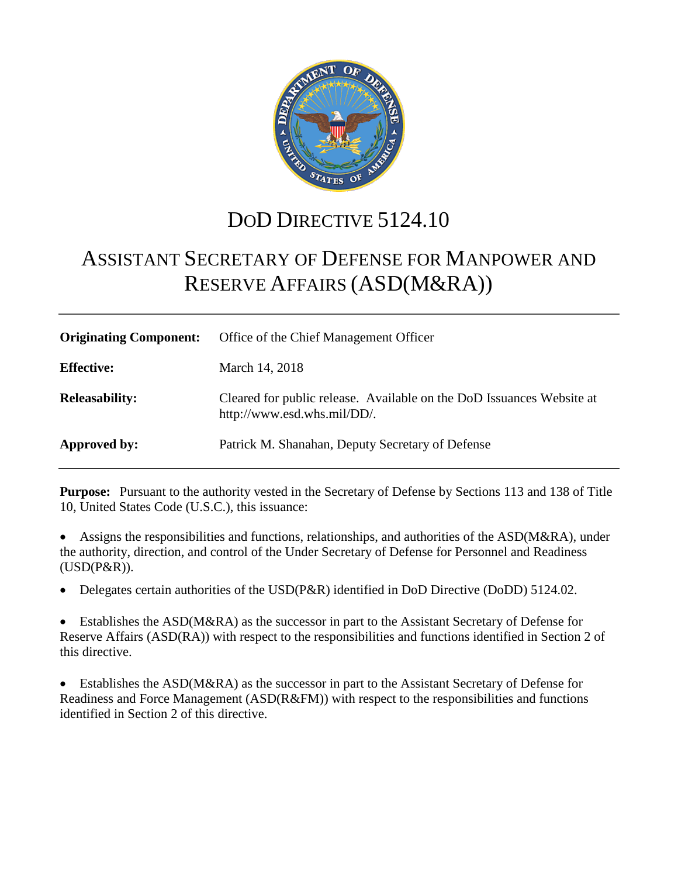

# DOD DIRECTIVE 5124.10

# ASSISTANT SECRETARY OF DEFENSE FOR MANPOWER AND RESERVE AFFAIRS (ASD(M&RA))

| <b>Originating Component:</b> | Office of the Chief Management Officer                                                               |
|-------------------------------|------------------------------------------------------------------------------------------------------|
| <b>Effective:</b>             | March 14, 2018                                                                                       |
| <b>Releasability:</b>         | Cleared for public release. Available on the DoD Issuances Website at<br>http://www.esd.whs.mil/DD/. |
| Approved by:                  | Patrick M. Shanahan, Deputy Secretary of Defense                                                     |

**Purpose:** Pursuant to the authority vested in the Secretary of Defense by Sections 113 and 138 of Title 10, United States Code (U.S.C.), this issuance:

• Assigns the responsibilities and functions, relationships, and authorities of the ASD(M&RA), under the authority, direction, and control of the Under Secretary of Defense for Personnel and Readiness (USD(P&R)).

• Delegates certain authorities of the USD(P&R) identified in DoD Directive (DoDD) 5124.02.

Establishes the ASD(M&RA) as the successor in part to the Assistant Secretary of Defense for Reserve Affairs (ASD(RA)) with respect to the responsibilities and functions identified in Section 2 of this directive.

Establishes the ASD(M&RA) as the successor in part to the Assistant Secretary of Defense for Readiness and Force Management (ASD(R&FM)) with respect to the responsibilities and functions identified in Section 2 of this directive.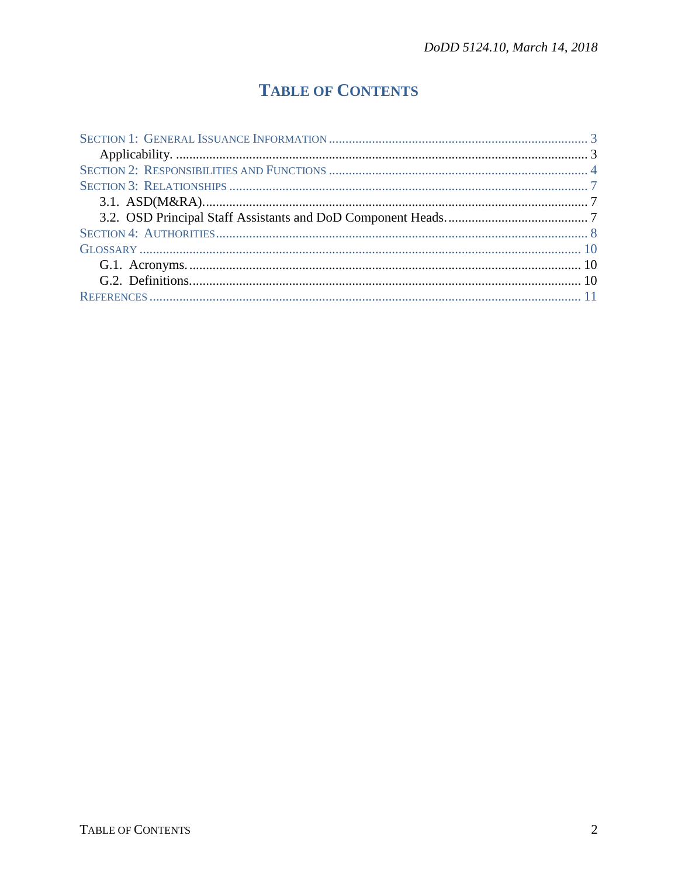# **TABLE OF CONTENTS**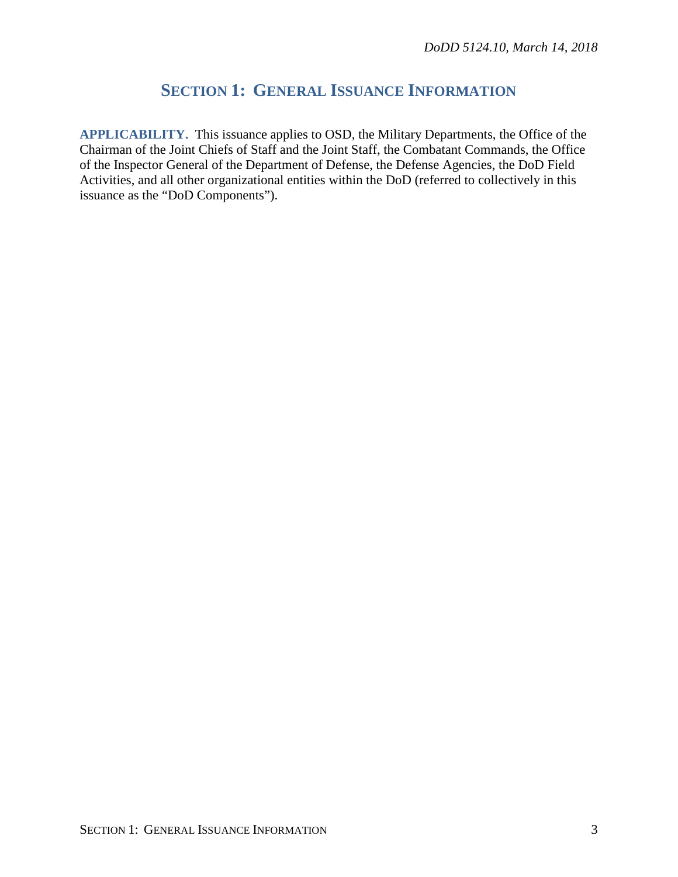## **SECTION 1: GENERAL ISSUANCE INFORMATION**

**APPLICABILITY.** This issuance applies to OSD, the Military Departments, the Office of the Chairman of the Joint Chiefs of Staff and the Joint Staff, the Combatant Commands, the Office of the Inspector General of the Department of Defense, the Defense Agencies, the DoD Field Activities, and all other organizational entities within the DoD (referred to collectively in this issuance as the "DoD Components").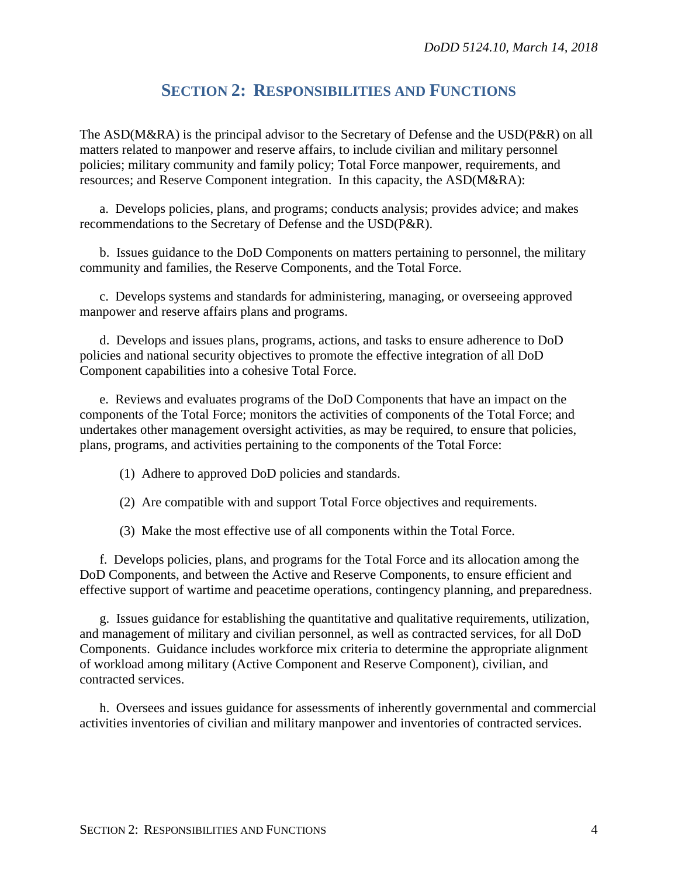#### **SECTION 2: RESPONSIBILITIES AND FUNCTIONS**

The ASD(M&RA) is the principal advisor to the Secretary of Defense and the USD(P&R) on all matters related to manpower and reserve affairs, to include civilian and military personnel policies; military community and family policy; Total Force manpower, requirements, and resources; and Reserve Component integration. In this capacity, the ASD(M&RA):

a. Develops policies, plans, and programs; conducts analysis; provides advice; and makes recommendations to the Secretary of Defense and the USD(P&R).

b. Issues guidance to the DoD Components on matters pertaining to personnel, the military community and families, the Reserve Components, and the Total Force.

c. Develops systems and standards for administering, managing, or overseeing approved manpower and reserve affairs plans and programs.

d. Develops and issues plans, programs, actions, and tasks to ensure adherence to DoD policies and national security objectives to promote the effective integration of all DoD Component capabilities into a cohesive Total Force.

e. Reviews and evaluates programs of the DoD Components that have an impact on the components of the Total Force; monitors the activities of components of the Total Force; and undertakes other management oversight activities, as may be required, to ensure that policies, plans, programs, and activities pertaining to the components of the Total Force:

- (1) Adhere to approved DoD policies and standards.
- (2) Are compatible with and support Total Force objectives and requirements.
- (3) Make the most effective use of all components within the Total Force.

f. Develops policies, plans, and programs for the Total Force and its allocation among the DoD Components, and between the Active and Reserve Components, to ensure efficient and effective support of wartime and peacetime operations, contingency planning, and preparedness.

g. Issues guidance for establishing the quantitative and qualitative requirements, utilization, and management of military and civilian personnel, as well as contracted services, for all DoD Components. Guidance includes workforce mix criteria to determine the appropriate alignment of workload among military (Active Component and Reserve Component), civilian, and contracted services.

h. Oversees and issues guidance for assessments of inherently governmental and commercial activities inventories of civilian and military manpower and inventories of contracted services.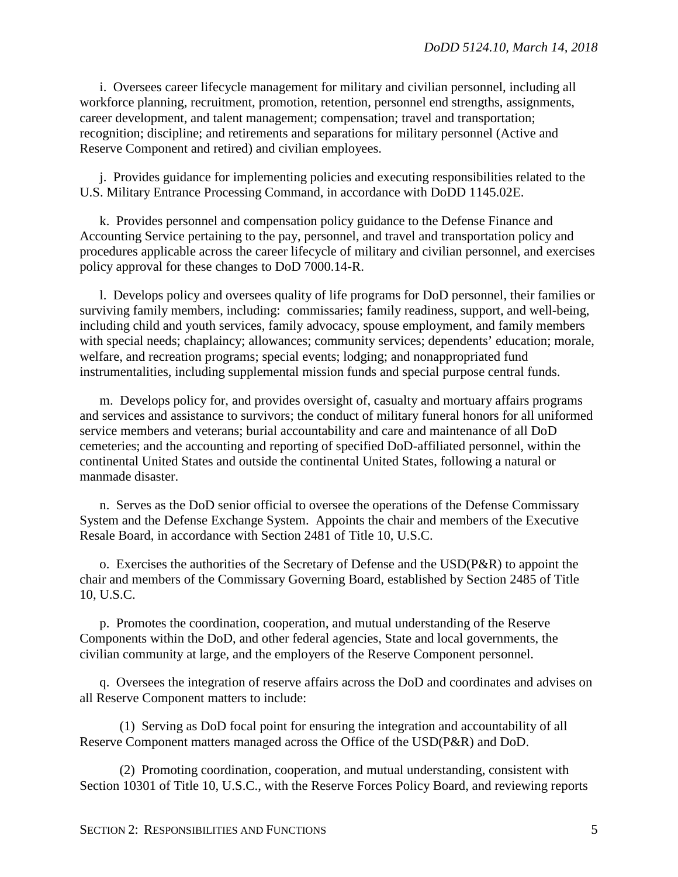i. Oversees career lifecycle management for military and civilian personnel, including all workforce planning, recruitment, promotion, retention, personnel end strengths, assignments, career development, and talent management; compensation; travel and transportation; recognition; discipline; and retirements and separations for military personnel (Active and Reserve Component and retired) and civilian employees.

j. Provides guidance for implementing policies and executing responsibilities related to the U.S. Military Entrance Processing Command, in accordance with DoDD 1145.02E.

k. Provides personnel and compensation policy guidance to the Defense Finance and Accounting Service pertaining to the pay, personnel, and travel and transportation policy and procedures applicable across the career lifecycle of military and civilian personnel, and exercises policy approval for these changes to DoD 7000.14-R.

l. Develops policy and oversees quality of life programs for DoD personnel, their families or surviving family members, including: commissaries; family readiness, support, and well-being, including child and youth services, family advocacy, spouse employment, and family members with special needs; chaplaincy; allowances; community services; dependents' education; morale, welfare, and recreation programs; special events; lodging; and nonappropriated fund instrumentalities, including supplemental mission funds and special purpose central funds.

m. Develops policy for, and provides oversight of, casualty and mortuary affairs programs and services and assistance to survivors; the conduct of military funeral honors for all uniformed service members and veterans; burial accountability and care and maintenance of all DoD cemeteries; and the accounting and reporting of specified DoD-affiliated personnel, within the continental United States and outside the continental United States, following a natural or manmade disaster.

n. Serves as the DoD senior official to oversee the operations of the Defense Commissary System and the Defense Exchange System. Appoints the chair and members of the Executive Resale Board, in accordance with Section 2481 of Title 10, U.S.C.

o. Exercises the authorities of the Secretary of Defense and the USD(P&R) to appoint the chair and members of the Commissary Governing Board, established by Section 2485 of Title 10, U.S.C.

p. Promotes the coordination, cooperation, and mutual understanding of the Reserve Components within the DoD, and other federal agencies, State and local governments, the civilian community at large, and the employers of the Reserve Component personnel.

q. Oversees the integration of reserve affairs across the DoD and coordinates and advises on all Reserve Component matters to include:

(1) Serving as DoD focal point for ensuring the integration and accountability of all Reserve Component matters managed across the Office of the USD(P&R) and DoD.

(2) Promoting coordination, cooperation, and mutual understanding, consistent with Section 10301 of Title 10, U.S.C., with the Reserve Forces Policy Board, and reviewing reports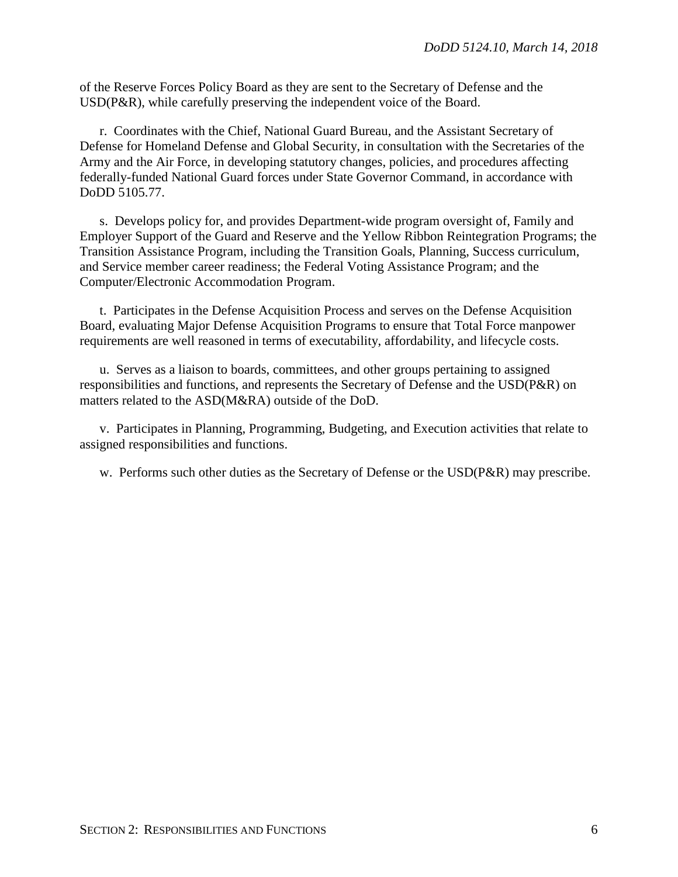of the Reserve Forces Policy Board as they are sent to the Secretary of Defense and the USD(P&R), while carefully preserving the independent voice of the Board.

r. Coordinates with the Chief, National Guard Bureau, and the Assistant Secretary of Defense for Homeland Defense and Global Security, in consultation with the Secretaries of the Army and the Air Force, in developing statutory changes, policies, and procedures affecting federally-funded National Guard forces under State Governor Command, in accordance with DoDD 5105.77.

s. Develops policy for, and provides Department-wide program oversight of, Family and Employer Support of the Guard and Reserve and the Yellow Ribbon Reintegration Programs; the Transition Assistance Program, including the Transition Goals, Planning, Success curriculum, and Service member career readiness; the Federal Voting Assistance Program; and the Computer/Electronic Accommodation Program.

t. Participates in the Defense Acquisition Process and serves on the Defense Acquisition Board, evaluating Major Defense Acquisition Programs to ensure that Total Force manpower requirements are well reasoned in terms of executability, affordability, and lifecycle costs.

u. Serves as a liaison to boards, committees, and other groups pertaining to assigned responsibilities and functions, and represents the Secretary of Defense and the USD(P&R) on matters related to the ASD(M&RA) outside of the DoD.

v. Participates in Planning, Programming, Budgeting, and Execution activities that relate to assigned responsibilities and functions.

w. Performs such other duties as the Secretary of Defense or the USD(P&R) may prescribe.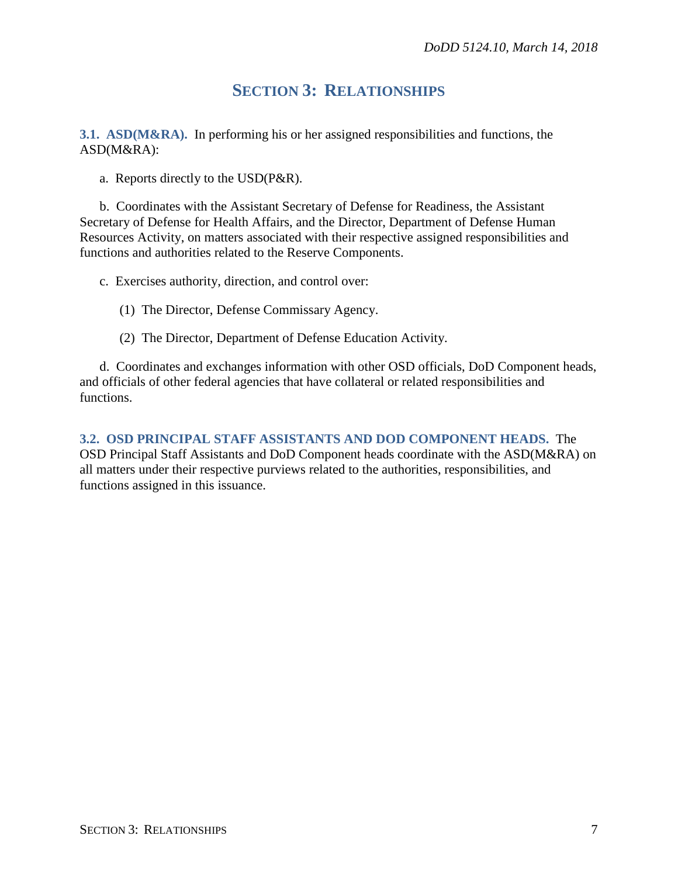### **SECTION 3: RELATIONSHIPS**

**3.1. ASD(M&RA).** In performing his or her assigned responsibilities and functions, the ASD(M&RA):

a. Reports directly to the USD(P&R).

b. Coordinates with the Assistant Secretary of Defense for Readiness, the Assistant Secretary of Defense for Health Affairs, and the Director, Department of Defense Human Resources Activity, on matters associated with their respective assigned responsibilities and functions and authorities related to the Reserve Components.

c. Exercises authority, direction, and control over:

- (1) The Director, Defense Commissary Agency.
- (2) The Director, Department of Defense Education Activity.

d. Coordinates and exchanges information with other OSD officials, DoD Component heads, and officials of other federal agencies that have collateral or related responsibilities and functions.

**3.2. OSD PRINCIPAL STAFF ASSISTANTS AND DOD COMPONENT HEADS.** The OSD Principal Staff Assistants and DoD Component heads coordinate with the ASD(M&RA) on all matters under their respective purviews related to the authorities, responsibilities, and functions assigned in this issuance.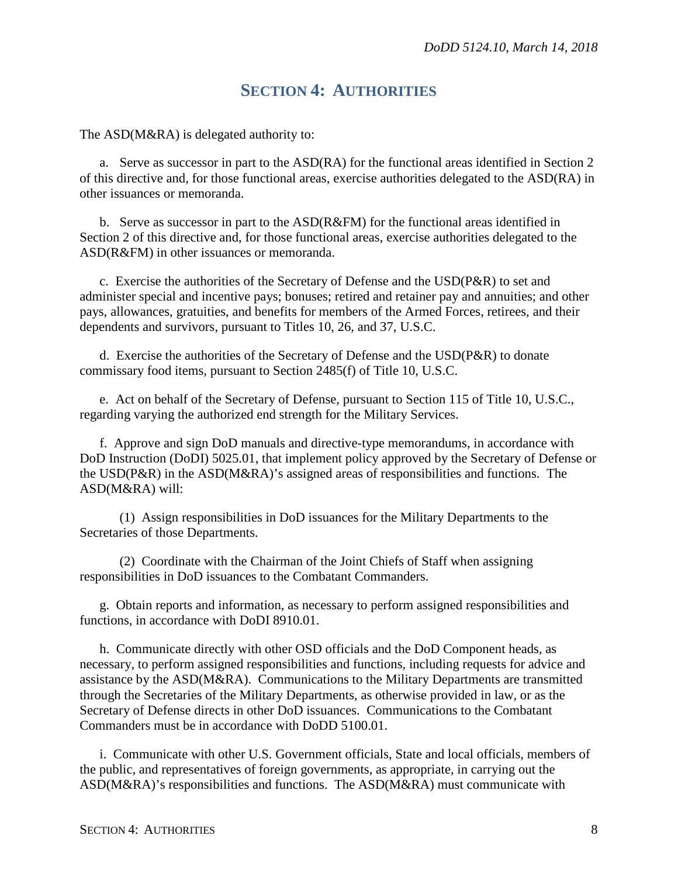#### **SECTION 4: AUTHORITIES**

The ASD(M&RA) is delegated authority to:

a. Serve as successor in part to the ASD(RA) for the functional areas identified in Section 2 of this directive and, for those functional areas, exercise authorities delegated to the ASD(RA) in other issuances or memoranda.

b. Serve as successor in part to the ASD(R&FM) for the functional areas identified in Section 2 of this directive and, for those functional areas, exercise authorities delegated to the ASD(R&FM) in other issuances or memoranda.

c. Exercise the authorities of the Secretary of Defense and the  $\text{USD}(P\&R)$  to set and administer special and incentive pays; bonuses; retired and retainer pay and annuities; and other pays, allowances, gratuities, and benefits for members of the Armed Forces, retirees, and their dependents and survivors, pursuant to Titles 10, 26, and 37, U.S.C.

d. Exercise the authorities of the Secretary of Defense and the USD(P&R) to donate commissary food items, pursuant to Section 2485(f) of Title 10, U.S.C.

e. Act on behalf of the Secretary of Defense, pursuant to Section 115 of Title 10, U.S.C., regarding varying the authorized end strength for the Military Services.

f. Approve and sign DoD manuals and directive-type memorandums, in accordance with DoD Instruction (DoDI) 5025.01, that implement policy approved by the Secretary of Defense or the USD(P&R) in the ASD(M&RA)'s assigned areas of responsibilities and functions. The ASD(M&RA) will:

(1) Assign responsibilities in DoD issuances for the Military Departments to the Secretaries of those Departments.

(2) Coordinate with the Chairman of the Joint Chiefs of Staff when assigning responsibilities in DoD issuances to the Combatant Commanders.

g. Obtain reports and information, as necessary to perform assigned responsibilities and functions, in accordance with DoDI 8910.01.

h. Communicate directly with other OSD officials and the DoD Component heads, as necessary, to perform assigned responsibilities and functions, including requests for advice and assistance by the ASD(M&RA). Communications to the Military Departments are transmitted through the Secretaries of the Military Departments, as otherwise provided in law, or as the Secretary of Defense directs in other DoD issuances. Communications to the Combatant Commanders must be in accordance with DoDD 5100.01.

i. Communicate with other U.S. Government officials, State and local officials, members of the public, and representatives of foreign governments, as appropriate, in carrying out the ASD(M&RA)'s responsibilities and functions. The ASD(M&RA) must communicate with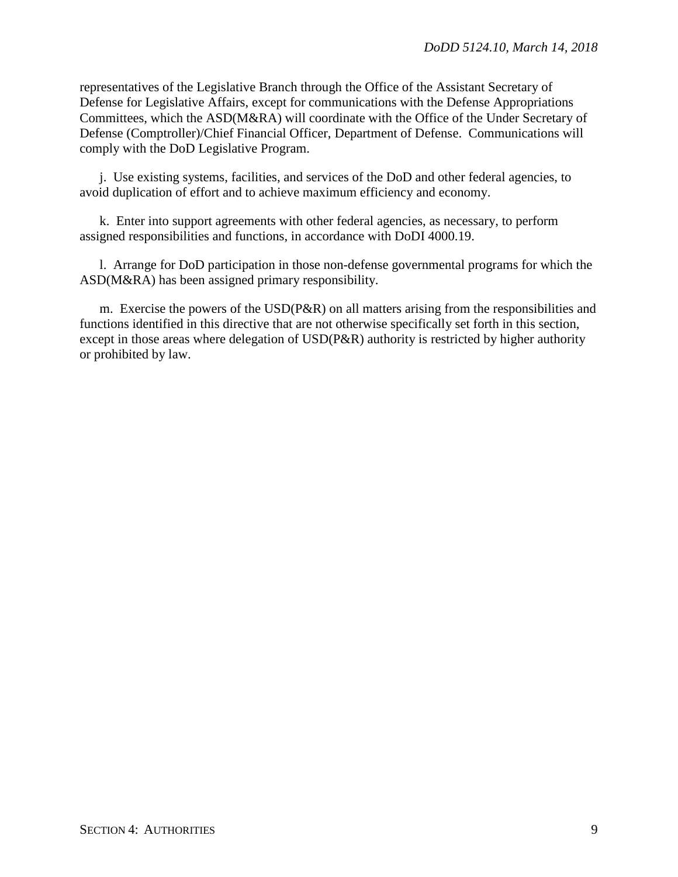representatives of the Legislative Branch through the Office of the Assistant Secretary of Defense for Legislative Affairs, except for communications with the Defense Appropriations Committees, which the ASD(M&RA) will coordinate with the Office of the Under Secretary of Defense (Comptroller)/Chief Financial Officer, Department of Defense. Communications will comply with the DoD Legislative Program.

j. Use existing systems, facilities, and services of the DoD and other federal agencies, to avoid duplication of effort and to achieve maximum efficiency and economy.

k. Enter into support agreements with other federal agencies, as necessary, to perform assigned responsibilities and functions, in accordance with DoDI 4000.19.

l. Arrange for DoD participation in those non-defense governmental programs for which the ASD(M&RA) has been assigned primary responsibility.

m. Exercise the powers of the USD(P&R) on all matters arising from the responsibilities and functions identified in this directive that are not otherwise specifically set forth in this section, except in those areas where delegation of USD(P&R) authority is restricted by higher authority or prohibited by law.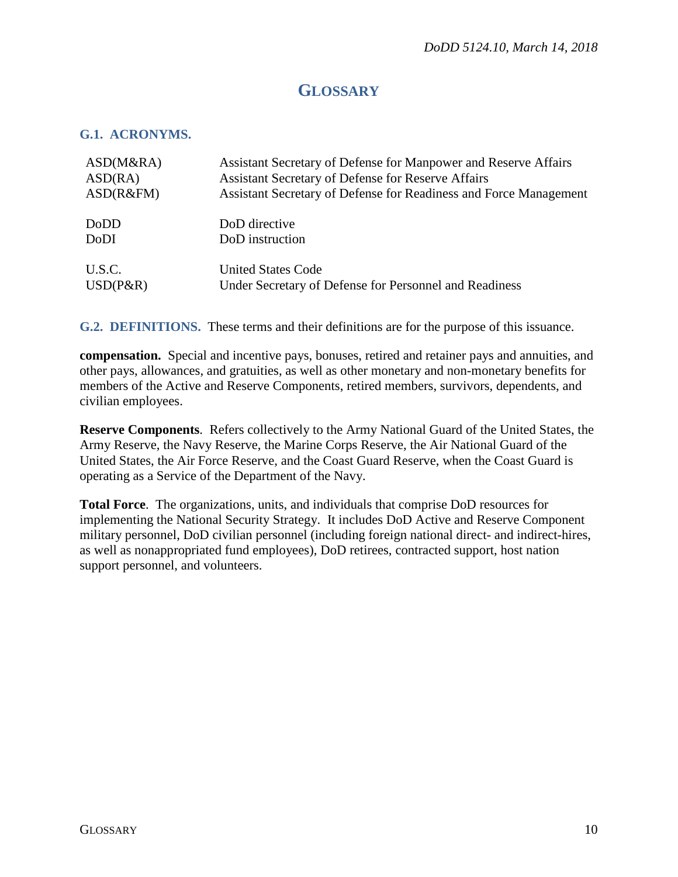### **GLOSSARY**

#### **G.1. ACRONYMS.**

| ASD(M&RA)   | Assistant Secretary of Defense for Manpower and Reserve Affairs   |
|-------------|-------------------------------------------------------------------|
| ASD(RA)     | <b>Assistant Secretary of Defense for Reserve Affairs</b>         |
| ASD(R&FM)   | Assistant Secretary of Defense for Readiness and Force Management |
| DoDD        | DoD directive                                                     |
| <b>DoDI</b> | DoD instruction                                                   |
| U.S.C.      | <b>United States Code</b>                                         |
| $USD(P\&R)$ | Under Secretary of Defense for Personnel and Readiness            |

**G.2. DEFINITIONS.** These terms and their definitions are for the purpose of this issuance.

**compensation.** Special and incentive pays, bonuses, retired and retainer pays and annuities, and other pays, allowances, and gratuities, as well as other monetary and non-monetary benefits for members of the Active and Reserve Components, retired members, survivors, dependents, and civilian employees.

**Reserve Components**. Refers collectively to the Army National Guard of the United States, the Army Reserve, the Navy Reserve, the Marine Corps Reserve, the Air National Guard of the United States, the Air Force Reserve, and the Coast Guard Reserve, when the Coast Guard is operating as a Service of the Department of the Navy.

**Total Force**. The organizations, units, and individuals that comprise DoD resources for implementing the National Security Strategy. It includes DoD Active and Reserve Component military personnel, DoD civilian personnel (including foreign national direct- and indirect-hires, as well as nonappropriated fund employees), DoD retirees, contracted support, host nation support personnel, and volunteers.